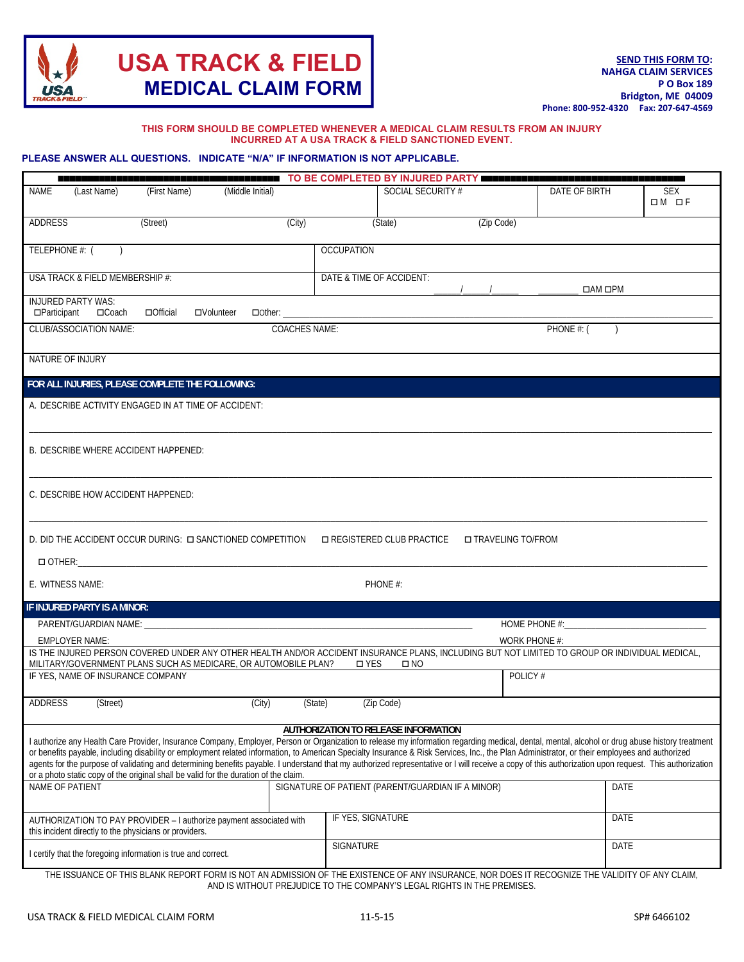

#### **THIS FORM SHOULD BE COMPLETED WHENEVER A MEDICAL CLAIM RESULTS FROM AN INJURY INCURRED AT A USA TRACK & FIELD SANCTIONED EVENT.**

#### **PLEASE ANSWER ALL QUESTIONS. INDICATE "N/A" IF INFORMATION IS NOT APPLICABLE.**

|                                                                                                                                                                                                                                                                                                                                                                                                                                                                                                                                                                                                                                                                                                                                                 | <b>ENERGIE OD TO BE COMPLETED BY INJURED PARTY BEERENES</b> |               |                     |                       |
|-------------------------------------------------------------------------------------------------------------------------------------------------------------------------------------------------------------------------------------------------------------------------------------------------------------------------------------------------------------------------------------------------------------------------------------------------------------------------------------------------------------------------------------------------------------------------------------------------------------------------------------------------------------------------------------------------------------------------------------------------|-------------------------------------------------------------|---------------|---------------------|-----------------------|
| <b>NAME</b><br>(Last Name)<br>(First Name)<br>(Middle Initial)                                                                                                                                                                                                                                                                                                                                                                                                                                                                                                                                                                                                                                                                                  | SOCIAL SECURITY #                                           |               | DATE OF BIRTH       | <b>SEX</b><br>$OM$ of |
| ADDRESS<br>(Street)<br>(City)                                                                                                                                                                                                                                                                                                                                                                                                                                                                                                                                                                                                                                                                                                                   | (State)                                                     | (Zip Code)    |                     |                       |
| TELEPHONE #: (                                                                                                                                                                                                                                                                                                                                                                                                                                                                                                                                                                                                                                                                                                                                  | <b>OCCUPATION</b>                                           |               |                     |                       |
| USA TRACK & FIELD MEMBERSHIP #:                                                                                                                                                                                                                                                                                                                                                                                                                                                                                                                                                                                                                                                                                                                 | DATE & TIME OF ACCIDENT:                                    |               | $\Box$ AM $\Box$ PM |                       |
| <b>INJURED PARTY WAS:</b><br>$\Box$ Participant<br>$\Box$ Coach<br>$\Box$ Official<br>□Volunteer<br>$\Box$ Other: $\Box$                                                                                                                                                                                                                                                                                                                                                                                                                                                                                                                                                                                                                        |                                                             |               |                     |                       |
| <b>CLUB/ASSOCIATION NAME:</b><br><b>COACHES NAME:</b>                                                                                                                                                                                                                                                                                                                                                                                                                                                                                                                                                                                                                                                                                           |                                                             |               | PHONE #: (          |                       |
| NATURE OF INJURY                                                                                                                                                                                                                                                                                                                                                                                                                                                                                                                                                                                                                                                                                                                                |                                                             |               |                     |                       |
| FOR ALL INJURIES, PLEASE COMPLETE THE FOLLOWING:                                                                                                                                                                                                                                                                                                                                                                                                                                                                                                                                                                                                                                                                                                |                                                             |               |                     |                       |
| A. DESCRIBE ACTIVITY ENGAGED IN AT TIME OF ACCIDENT:                                                                                                                                                                                                                                                                                                                                                                                                                                                                                                                                                                                                                                                                                            |                                                             |               |                     |                       |
| B. DESCRIBE WHERE ACCIDENT HAPPENED:                                                                                                                                                                                                                                                                                                                                                                                                                                                                                                                                                                                                                                                                                                            |                                                             |               |                     |                       |
| C. DESCRIBE HOW ACCIDENT HAPPENED:                                                                                                                                                                                                                                                                                                                                                                                                                                                                                                                                                                                                                                                                                                              |                                                             |               |                     |                       |
| D. DID THE ACCIDENT OCCUR DURING: $\Box$ SANCTIONED COMPETITION<br>□ REGISTERED CLUB PRACTICE<br>□ TRAVELING TO/FROM<br>$\Box$ OTHER:                                                                                                                                                                                                                                                                                                                                                                                                                                                                                                                                                                                                           |                                                             |               |                     |                       |
| E. WITNESS NAME:<br>PHONE #:                                                                                                                                                                                                                                                                                                                                                                                                                                                                                                                                                                                                                                                                                                                    |                                                             |               |                     |                       |
| IF INJURED PARTY IS A MINOR:                                                                                                                                                                                                                                                                                                                                                                                                                                                                                                                                                                                                                                                                                                                    |                                                             |               |                     |                       |
| PARENT/GUARDIAN NAME:                                                                                                                                                                                                                                                                                                                                                                                                                                                                                                                                                                                                                                                                                                                           |                                                             | HOME PHONE #: |                     |                       |
| <b>EMPLOYER NAME:</b><br>WORK PHONE #:<br>IS THE INJURED PERSON COVERED UNDER ANY OTHER HEALTH AND/OR ACCIDENT INSURANCE PLANS, INCLUDING BUT NOT LIMITED TO GROUP OR INDIVIDUAL MEDICAL,                                                                                                                                                                                                                                                                                                                                                                                                                                                                                                                                                       |                                                             |               |                     |                       |
| MILITARY/GOVERNMENT PLANS SUCH AS MEDICARE, OR AUTOMOBILE PLAN?                                                                                                                                                                                                                                                                                                                                                                                                                                                                                                                                                                                                                                                                                 | □ YES<br>$\square$ NO                                       |               |                     |                       |
| IF YES, NAME OF INSURANCE COMPANY                                                                                                                                                                                                                                                                                                                                                                                                                                                                                                                                                                                                                                                                                                               |                                                             | POLICY #      |                     |                       |
| ADDRESS<br>(Street)<br>(City)<br>(State)<br>(Zip Code)                                                                                                                                                                                                                                                                                                                                                                                                                                                                                                                                                                                                                                                                                          |                                                             |               |                     |                       |
| <b>AUTHORIZATION TO RELEASE INFORMATION</b><br>I authorize any Health Care Provider, Insurance Company, Employer, Person or Organization to release my information regarding medical, dental, mental, alcohol or drug abuse history treatment<br>or benefits payable, including disability or employment related information, to American Specialty Insurance & Risk Services, Inc., the Plan Administrator, or their employees and authorized<br>agents for the purpose of validating and determining benefits payable. I understand that my authorized representative or I will receive a copy of this authorization upon request. This authorization<br>or a photo static copy of the original shall be valid for the duration of the claim. |                                                             |               |                     |                       |
| NAME OF PATIENT                                                                                                                                                                                                                                                                                                                                                                                                                                                                                                                                                                                                                                                                                                                                 | SIGNATURE OF PATIENT (PARENT/GUARDIAN IF A MINOR)           |               | DATE                |                       |
| AUTHORIZATION TO PAY PROVIDER - I authorize payment associated with<br>this incident directly to the physicians or providers.                                                                                                                                                                                                                                                                                                                                                                                                                                                                                                                                                                                                                   | IF YES, SIGNATURE                                           |               | DATE                |                       |
| I certify that the foregoing information is true and correct.                                                                                                                                                                                                                                                                                                                                                                                                                                                                                                                                                                                                                                                                                   | SIGNATURE                                                   |               | DATE                |                       |
| THE ISSUANCE OF THIS BLANK REPORT FORM IS NOT AN ADMISSION OF THE EXISTENCE OF ANY INSURANCE, NOR DOES IT RECOGNIZE THE VALIDITY OF ANY CLAIM,                                                                                                                                                                                                                                                                                                                                                                                                                                                                                                                                                                                                  |                                                             |               |                     |                       |

AND IS WITHOUT PREJUDICE TO THE COMPANY'S LEGAL RIGHTS IN THE PREMISES.